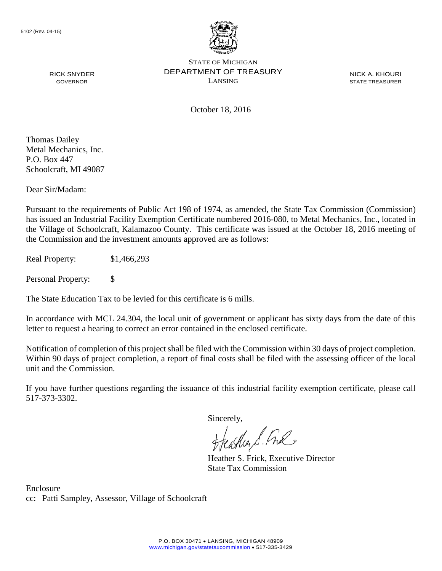

NICK A. KHOURI STATE TREASURER

October 18, 2016

Thomas Dailey Metal Mechanics, Inc. P.O. Box 447 Schoolcraft, MI 49087

RICK SNYDER GOVERNOR

Dear Sir/Madam:

Pursuant to the requirements of Public Act 198 of 1974, as amended, the State Tax Commission (Commission) has issued an Industrial Facility Exemption Certificate numbered 2016-080, to Metal Mechanics, Inc., located in the Village of Schoolcraft, Kalamazoo County. This certificate was issued at the October 18, 2016 meeting of the Commission and the investment amounts approved are as follows:

Real Property: \$1,466,293

Personal Property: \$

The State Education Tax to be levied for this certificate is 6 mills.

In accordance with MCL 24.304, the local unit of government or applicant has sixty days from the date of this letter to request a hearing to correct an error contained in the enclosed certificate.

Notification of completion of this project shall be filed with the Commission within 30 days of project completion. Within 90 days of project completion, a report of final costs shall be filed with the assessing officer of the local unit and the Commission.

If you have further questions regarding the issuance of this industrial facility exemption certificate, please call 517-373-3302.

Sincerely,

teacher S. Ful

Heather S. Frick, Executive Director State Tax Commission

Enclosure cc: Patti Sampley, Assessor, Village of Schoolcraft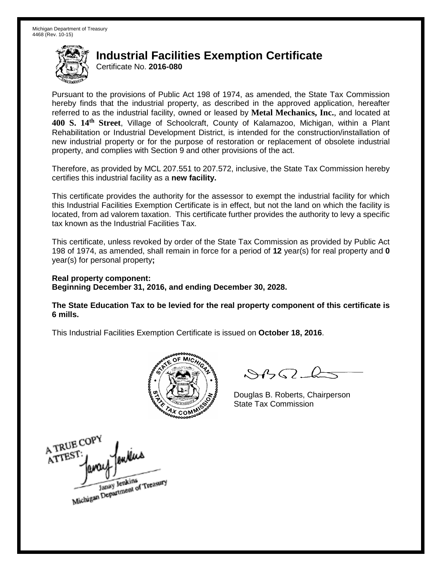Certificate No. **2016-080**

Pursuant to the provisions of Public Act 198 of 1974, as amended, the State Tax Commission hereby finds that the industrial property, as described in the approved application, hereafter referred to as the industrial facility, owned or leased by **Metal Mechanics, Inc.**, and located at **400 S. 14th Street**, Village of Schoolcraft, County of Kalamazoo, Michigan, within a Plant Rehabilitation or Industrial Development District, is intended for the construction/installation of new industrial property or for the purpose of restoration or replacement of obsolete industrial property, and complies with Section 9 and other provisions of the act.

Therefore, as provided by MCL 207.551 to 207.572, inclusive, the State Tax Commission hereby certifies this industrial facility as a **new facility.**

This certificate provides the authority for the assessor to exempt the industrial facility for which this Industrial Facilities Exemption Certificate is in effect, but not the land on which the facility is located, from ad valorem taxation. This certificate further provides the authority to levy a specific tax known as the Industrial Facilities Tax.

This certificate, unless revoked by order of the State Tax Commission as provided by Public Act 198 of 1974, as amended, shall remain in force for a period of **12** year(s) for real property and **0** year(s) for personal property**;**

**Real property component: Beginning December 31, 2016, and ending December 30, 2028.**

**The State Education Tax to be levied for the real property component of this certificate is 6 mills.**



 $\mathcal{A}$ 

Douglas B. Roberts, Chairperson State Tax Commission

A TRUE COP ATTEST Janay Jenkins<br>Michigan Department of Treasury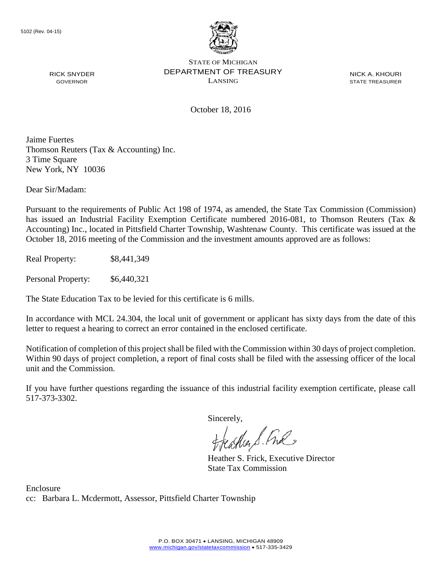

NICK A. KHOURI STATE TREASURER

October 18, 2016

Jaime Fuertes Thomson Reuters (Tax & Accounting) Inc. 3 Time Square New York, NY 10036

Dear Sir/Madam:

RICK SNYDER GOVERNOR

Pursuant to the requirements of Public Act 198 of 1974, as amended, the State Tax Commission (Commission) has issued an Industrial Facility Exemption Certificate numbered 2016-081, to Thomson Reuters (Tax & Accounting) Inc., located in Pittsfield Charter Township, Washtenaw County. This certificate was issued at the October 18, 2016 meeting of the Commission and the investment amounts approved are as follows:

Real Property: \$8,441,349

Personal Property: \$6,440,321

The State Education Tax to be levied for this certificate is 6 mills.

In accordance with MCL 24.304, the local unit of government or applicant has sixty days from the date of this letter to request a hearing to correct an error contained in the enclosed certificate.

Notification of completion of this project shall be filed with the Commission within 30 days of project completion. Within 90 days of project completion, a report of final costs shall be filed with the assessing officer of the local unit and the Commission.

If you have further questions regarding the issuance of this industrial facility exemption certificate, please call 517-373-3302.

Sincerely,

feastles S. Ful

Heather S. Frick, Executive Director State Tax Commission

Enclosure cc: Barbara L. Mcdermott, Assessor, Pittsfield Charter Township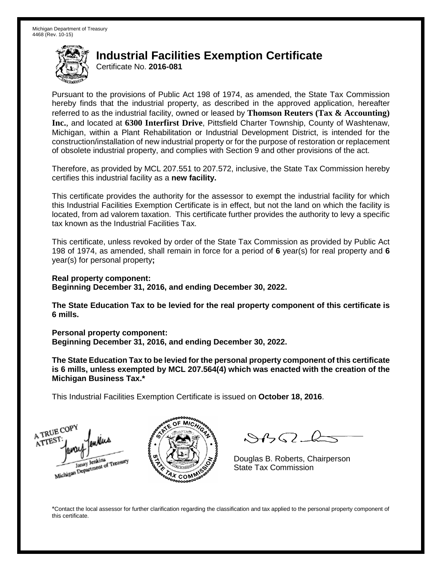Certificate No. **2016-081**

Pursuant to the provisions of Public Act 198 of 1974, as amended, the State Tax Commission hereby finds that the industrial property, as described in the approved application, hereafter referred to as the industrial facility, owned or leased by **Thomson Reuters (Tax & Accounting) Inc.**, and located at **6300 Interfirst Drive**, Pittsfield Charter Township, County of Washtenaw, Michigan, within a Plant Rehabilitation or Industrial Development District, is intended for the construction/installation of new industrial property or for the purpose of restoration or replacement of obsolete industrial property, and complies with Section 9 and other provisions of the act.

Therefore, as provided by MCL 207.551 to 207.572, inclusive, the State Tax Commission hereby certifies this industrial facility as a **new facility.**

This certificate provides the authority for the assessor to exempt the industrial facility for which this Industrial Facilities Exemption Certificate is in effect, but not the land on which the facility is located, from ad valorem taxation. This certificate further provides the authority to levy a specific tax known as the Industrial Facilities Tax.

This certificate, unless revoked by order of the State Tax Commission as provided by Public Act 198 of 1974, as amended, shall remain in force for a period of **6** year(s) for real property and **6** year(s) for personal property**;**

**Real property component: Beginning December 31, 2016, and ending December 30, 2022.**

**The State Education Tax to be levied for the real property component of this certificate is 6 mills.**

**Personal property component:**

**Beginning December 31, 2016, and ending December 30, 2022.**

**The State Education Tax to be levied for the personal property component of this certificate is 6 mills, unless exempted by MCL 207.564(4) which was enacted with the creation of the Michigan Business Tax.\***

This Industrial Facilities Exemption Certificate is issued on **October 18, 2016**.





 $\mathcal{A} \cap \mathcal{A}$ 

Douglas B. Roberts, Chairperson State Tax Commission

\*Contact the local assessor for further clarification regarding the classification and tax applied to the personal property component of this certificate.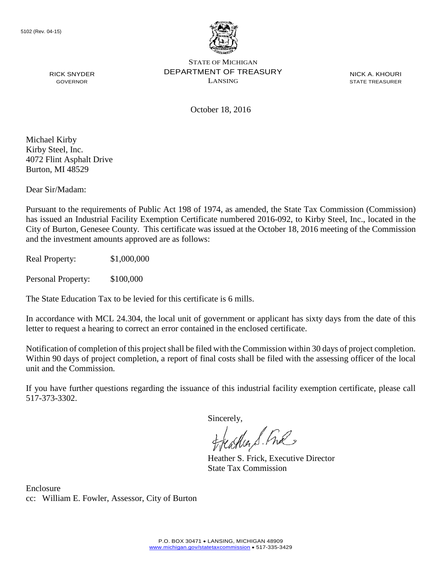

NICK A. KHOURI STATE TREASURER

October 18, 2016

Michael Kirby Kirby Steel, Inc. 4072 Flint Asphalt Drive Burton, MI 48529

RICK SNYDER GOVERNOR

Dear Sir/Madam:

Pursuant to the requirements of Public Act 198 of 1974, as amended, the State Tax Commission (Commission) has issued an Industrial Facility Exemption Certificate numbered 2016-092, to Kirby Steel, Inc., located in the City of Burton, Genesee County. This certificate was issued at the October 18, 2016 meeting of the Commission and the investment amounts approved are as follows:

Real Property: \$1,000,000

Personal Property: \$100,000

The State Education Tax to be levied for this certificate is 6 mills.

In accordance with MCL 24.304, the local unit of government or applicant has sixty days from the date of this letter to request a hearing to correct an error contained in the enclosed certificate.

Notification of completion of this project shall be filed with the Commission within 30 days of project completion. Within 90 days of project completion, a report of final costs shall be filed with the assessing officer of the local unit and the Commission.

If you have further questions regarding the issuance of this industrial facility exemption certificate, please call 517-373-3302.

Sincerely,

teather S. Ful

Heather S. Frick, Executive Director State Tax Commission

Enclosure cc: William E. Fowler, Assessor, City of Burton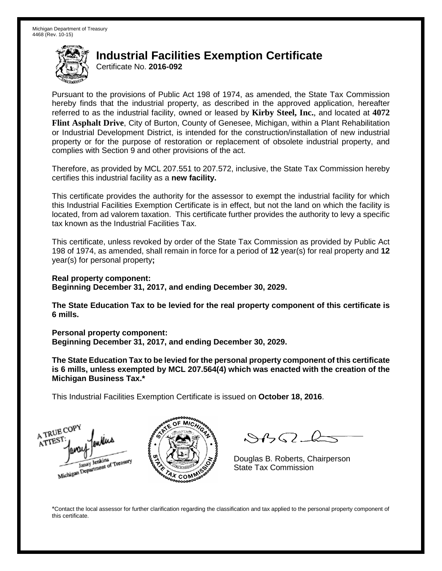Certificate No. **2016-092**

Pursuant to the provisions of Public Act 198 of 1974, as amended, the State Tax Commission hereby finds that the industrial property, as described in the approved application, hereafter referred to as the industrial facility, owned or leased by **Kirby Steel, Inc.**, and located at **4072 Flint Asphalt Drive**, City of Burton, County of Genesee, Michigan, within a Plant Rehabilitation or Industrial Development District, is intended for the construction/installation of new industrial property or for the purpose of restoration or replacement of obsolete industrial property, and complies with Section 9 and other provisions of the act.

Therefore, as provided by MCL 207.551 to 207.572, inclusive, the State Tax Commission hereby certifies this industrial facility as a **new facility.**

This certificate provides the authority for the assessor to exempt the industrial facility for which this Industrial Facilities Exemption Certificate is in effect, but not the land on which the facility is located, from ad valorem taxation. This certificate further provides the authority to levy a specific tax known as the Industrial Facilities Tax.

This certificate, unless revoked by order of the State Tax Commission as provided by Public Act 198 of 1974, as amended, shall remain in force for a period of **12** year(s) for real property and **12** year(s) for personal property**;**

**Real property component: Beginning December 31, 2017, and ending December 30, 2029.**

**The State Education Tax to be levied for the real property component of this certificate is 6 mills.**

**Personal property component:**

**Beginning December 31, 2017, and ending December 30, 2029.**

**The State Education Tax to be levied for the personal property component of this certificate is 6 mills, unless exempted by MCL 207.564(4) which was enacted with the creation of the Michigan Business Tax.\***

This Industrial Facilities Exemption Certificate is issued on **October 18, 2016**.

A TRUE COP ATTES Janay Jenkins<br>Michigan Department of Treasury



 $\mathcal{A}(\mathcal{C})$ 

Douglas B. Roberts, Chairperson State Tax Commission

\*Contact the local assessor for further clarification regarding the classification and tax applied to the personal property component of this certificate.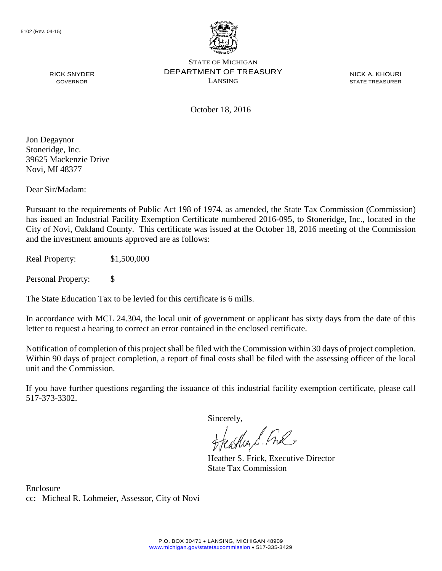

NICK A. KHOURI STATE TREASURER

October 18, 2016

Jon Degaynor Stoneridge, Inc. 39625 Mackenzie Drive Novi, MI 48377

RICK SNYDER GOVERNOR

Dear Sir/Madam:

Pursuant to the requirements of Public Act 198 of 1974, as amended, the State Tax Commission (Commission) has issued an Industrial Facility Exemption Certificate numbered 2016-095, to Stoneridge, Inc., located in the City of Novi, Oakland County. This certificate was issued at the October 18, 2016 meeting of the Commission and the investment amounts approved are as follows:

Real Property: \$1,500,000

Personal Property: \$

The State Education Tax to be levied for this certificate is 6 mills.

In accordance with MCL 24.304, the local unit of government or applicant has sixty days from the date of this letter to request a hearing to correct an error contained in the enclosed certificate.

Notification of completion of this project shall be filed with the Commission within 30 days of project completion. Within 90 days of project completion, a report of final costs shall be filed with the assessing officer of the local unit and the Commission.

If you have further questions regarding the issuance of this industrial facility exemption certificate, please call 517-373-3302.

Sincerely,

teacher S. Ful

Heather S. Frick, Executive Director State Tax Commission

Enclosure cc: Micheal R. Lohmeier, Assessor, City of Novi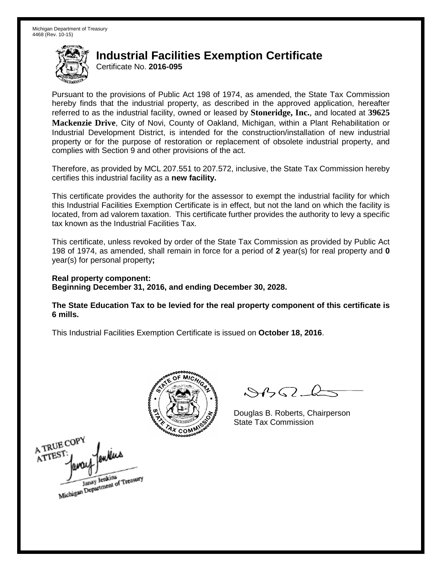Certificate No. **2016-095**

Pursuant to the provisions of Public Act 198 of 1974, as amended, the State Tax Commission hereby finds that the industrial property, as described in the approved application, hereafter referred to as the industrial facility, owned or leased by **Stoneridge, Inc.**, and located at **39625 Mackenzie Drive**, City of Novi, County of Oakland, Michigan, within a Plant Rehabilitation or Industrial Development District, is intended for the construction/installation of new industrial property or for the purpose of restoration or replacement of obsolete industrial property, and complies with Section 9 and other provisions of the act.

Therefore, as provided by MCL 207.551 to 207.572, inclusive, the State Tax Commission hereby certifies this industrial facility as a **new facility.**

This certificate provides the authority for the assessor to exempt the industrial facility for which this Industrial Facilities Exemption Certificate is in effect, but not the land on which the facility is located, from ad valorem taxation. This certificate further provides the authority to levy a specific tax known as the Industrial Facilities Tax.

This certificate, unless revoked by order of the State Tax Commission as provided by Public Act 198 of 1974, as amended, shall remain in force for a period of **2** year(s) for real property and **0** year(s) for personal property**;**

**Real property component: Beginning December 31, 2016, and ending December 30, 2028.**

**The State Education Tax to be levied for the real property component of this certificate is 6 mills.**



 $\mathcal{A}$ 

Douglas B. Roberts, Chairperson State Tax Commission

A TRUE COPY A TTEST Janay Jenkins<br>Michigan Department of Treasury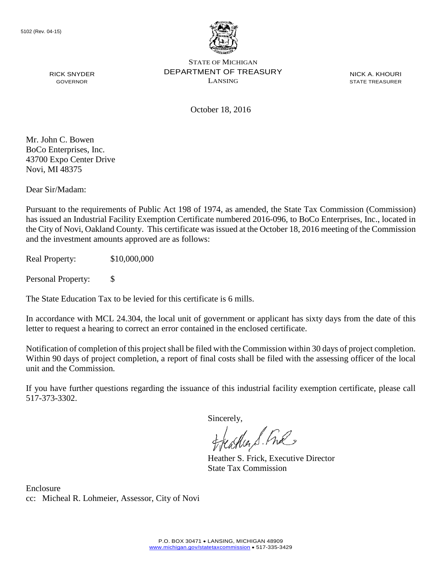

NICK A. KHOURI STATE TREASURER

October 18, 2016

Mr. John C. Bowen BoCo Enterprises, Inc. 43700 Expo Center Drive Novi, MI 48375

RICK SNYDER GOVERNOR

Dear Sir/Madam:

Pursuant to the requirements of Public Act 198 of 1974, as amended, the State Tax Commission (Commission) has issued an Industrial Facility Exemption Certificate numbered 2016-096, to BoCo Enterprises, Inc., located in the City of Novi, Oakland County. This certificate was issued at the October 18, 2016 meeting of the Commission and the investment amounts approved are as follows:

Real Property: \$10,000,000

Personal Property: \$

The State Education Tax to be levied for this certificate is 6 mills.

In accordance with MCL 24.304, the local unit of government or applicant has sixty days from the date of this letter to request a hearing to correct an error contained in the enclosed certificate.

Notification of completion of this project shall be filed with the Commission within 30 days of project completion. Within 90 days of project completion, a report of final costs shall be filed with the assessing officer of the local unit and the Commission.

If you have further questions regarding the issuance of this industrial facility exemption certificate, please call 517-373-3302.

Sincerely,

teaglien S. Ful

Heather S. Frick, Executive Director State Tax Commission

Enclosure cc: Micheal R. Lohmeier, Assessor, City of Novi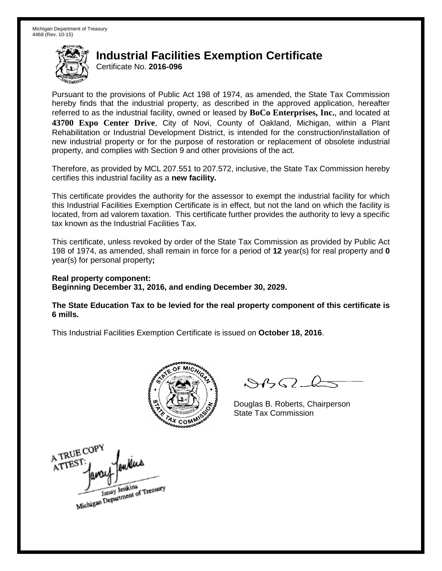Certificate No. **2016-096**

Pursuant to the provisions of Public Act 198 of 1974, as amended, the State Tax Commission hereby finds that the industrial property, as described in the approved application, hereafter referred to as the industrial facility, owned or leased by **BoCo Enterprises, Inc.**, and located at **43700 Expo Center Drive**, City of Novi, County of Oakland, Michigan, within a Plant Rehabilitation or Industrial Development District, is intended for the construction/installation of new industrial property or for the purpose of restoration or replacement of obsolete industrial property, and complies with Section 9 and other provisions of the act.

Therefore, as provided by MCL 207.551 to 207.572, inclusive, the State Tax Commission hereby certifies this industrial facility as a **new facility.**

This certificate provides the authority for the assessor to exempt the industrial facility for which this Industrial Facilities Exemption Certificate is in effect, but not the land on which the facility is located, from ad valorem taxation. This certificate further provides the authority to levy a specific tax known as the Industrial Facilities Tax.

This certificate, unless revoked by order of the State Tax Commission as provided by Public Act 198 of 1974, as amended, shall remain in force for a period of **12** year(s) for real property and **0** year(s) for personal property**;**

**Real property component: Beginning December 31, 2016, and ending December 30, 2029.**

**The State Education Tax to be levied for the real property component of this certificate is 6 mills.**



 $\mathcal{S}$ 

Douglas B. Roberts, Chairperson State Tax Commission

A TRUE COPY ATTEST ,Nu Janay Jenkins<br>Michigan Department of Treasury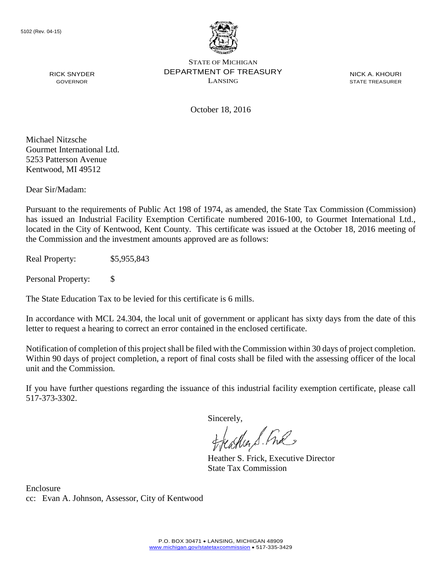

NICK A. KHOURI STATE TREASURER

October 18, 2016

Michael Nitzsche Gourmet International Ltd. 5253 Patterson Avenue Kentwood, MI 49512

RICK SNYDER GOVERNOR

Dear Sir/Madam:

Pursuant to the requirements of Public Act 198 of 1974, as amended, the State Tax Commission (Commission) has issued an Industrial Facility Exemption Certificate numbered 2016-100, to Gourmet International Ltd., located in the City of Kentwood, Kent County. This certificate was issued at the October 18, 2016 meeting of the Commission and the investment amounts approved are as follows:

Real Property: \$5,955,843

Personal Property: \$

The State Education Tax to be levied for this certificate is 6 mills.

In accordance with MCL 24.304, the local unit of government or applicant has sixty days from the date of this letter to request a hearing to correct an error contained in the enclosed certificate.

Notification of completion of this project shall be filed with the Commission within 30 days of project completion. Within 90 days of project completion, a report of final costs shall be filed with the assessing officer of the local unit and the Commission.

If you have further questions regarding the issuance of this industrial facility exemption certificate, please call 517-373-3302.

Sincerely,

teaglien S. Ful

Heather S. Frick, Executive Director State Tax Commission

Enclosure cc: Evan A. Johnson, Assessor, City of Kentwood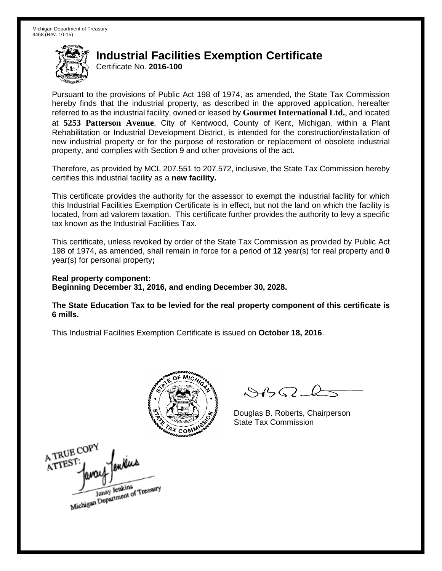Certificate No. **2016-100**

Pursuant to the provisions of Public Act 198 of 1974, as amended, the State Tax Commission hereby finds that the industrial property, as described in the approved application, hereafter referred to as the industrial facility, owned or leased by **Gourmet International Ltd.**, and located at **5253 Patterson Avenue**, City of Kentwood, County of Kent, Michigan, within a Plant Rehabilitation or Industrial Development District, is intended for the construction/installation of new industrial property or for the purpose of restoration or replacement of obsolete industrial property, and complies with Section 9 and other provisions of the act.

Therefore, as provided by MCL 207.551 to 207.572, inclusive, the State Tax Commission hereby certifies this industrial facility as a **new facility.**

This certificate provides the authority for the assessor to exempt the industrial facility for which this Industrial Facilities Exemption Certificate is in effect, but not the land on which the facility is located, from ad valorem taxation. This certificate further provides the authority to levy a specific tax known as the Industrial Facilities Tax.

This certificate, unless revoked by order of the State Tax Commission as provided by Public Act 198 of 1974, as amended, shall remain in force for a period of **12** year(s) for real property and **0** year(s) for personal property**;**

**Real property component: Beginning December 31, 2016, and ending December 30, 2028.**

**The State Education Tax to be levied for the real property component of this certificate is 6 mills.**



 $\mathcal{A}$ 

Douglas B. Roberts, Chairperson State Tax Commission

A TRUE COPY mlus A TTEST Janay Jenkins<br>Michigan Department of Treasury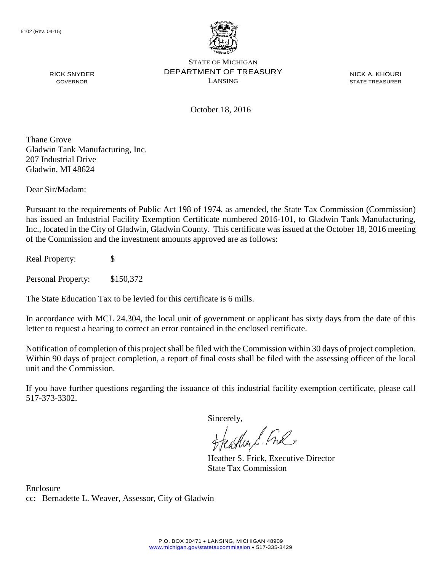

NICK A. KHOURI STATE TREASURER

October 18, 2016

Thane Grove Gladwin Tank Manufacturing, Inc. 207 Industrial Drive Gladwin, MI 48624

RICK SNYDER GOVERNOR

Dear Sir/Madam:

Pursuant to the requirements of Public Act 198 of 1974, as amended, the State Tax Commission (Commission) has issued an Industrial Facility Exemption Certificate numbered 2016-101, to Gladwin Tank Manufacturing, Inc., located in the City of Gladwin, Gladwin County. This certificate was issued at the October 18, 2016 meeting of the Commission and the investment amounts approved are as follows:

Real Property: \$

Personal Property: \$150,372

The State Education Tax to be levied for this certificate is 6 mills.

In accordance with MCL 24.304, the local unit of government or applicant has sixty days from the date of this letter to request a hearing to correct an error contained in the enclosed certificate.

Notification of completion of this project shall be filed with the Commission within 30 days of project completion. Within 90 days of project completion, a report of final costs shall be filed with the assessing officer of the local unit and the Commission.

If you have further questions regarding the issuance of this industrial facility exemption certificate, please call 517-373-3302.

Sincerely,

teacher S. Ful

Heather S. Frick, Executive Director State Tax Commission

Enclosure cc: Bernadette L. Weaver, Assessor, City of Gladwin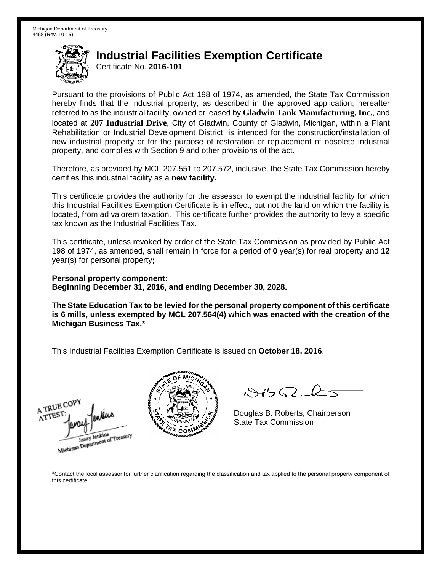Certificate No. **2016-101**

Pursuant to the provisions of Public Act 198 of 1974, as amended, the State Tax Commission hereby finds that the industrial property, as described in the approved application, hereafter referred to as the industrial facility, owned or leased by **Gladwin Tank Manufacturing, Inc.**, and located at **207 Industrial Drive**, City of Gladwin, County of Gladwin, Michigan, within a Plant Rehabilitation or Industrial Development District, is intended for the construction/installation of new industrial property or for the purpose of restoration or replacement of obsolete industrial property, and complies with Section 9 and other provisions of the act.

Therefore, as provided by MCL 207.551 to 207.572, inclusive, the State Tax Commission hereby certifies this industrial facility as a **new facility.**

This certificate provides the authority for the assessor to exempt the industrial facility for which this Industrial Facilities Exemption Certificate is in effect, but not the land on which the facility is located, from ad valorem taxation. This certificate further provides the authority to levy a specific tax known as the Industrial Facilities Tax.

This certificate, unless revoked by order of the State Tax Commission as provided by Public Act 198 of 1974, as amended, shall remain in force for a period of **0** year(s) for real property and **12** year(s) for personal property**;**

**Personal property component: Beginning December 31, 2016, and ending December 30, 2028.**

**The State Education Tax to be levied for the personal property component of this certificate is 6 mills, unless exempted by MCL 207.564(4) which was enacted with the creation of the Michigan Business Tax.\***

This Industrial Facilities Exemption Certificate is issued on **October 18, 2016**.





 $\mathcal{S}4\mathcal{G}$ 

Douglas B. Roberts, Chairperson State Tax Commission

\*Contact the local assessor for further clarification regarding the classification and tax applied to the personal property component of this certificate.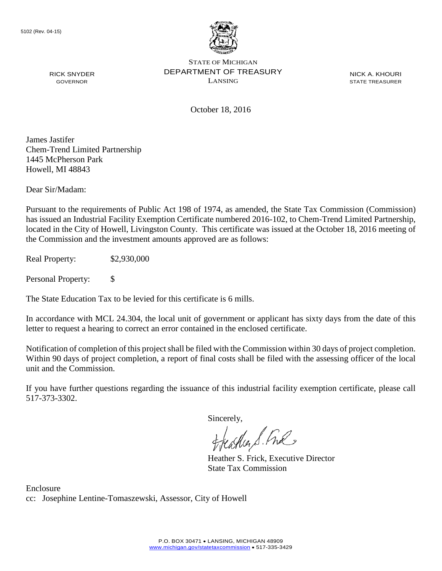

NICK A. KHOURI STATE TREASURER

October 18, 2016

James Jastifer Chem-Trend Limited Partnership 1445 McPherson Park Howell, MI 48843

RICK SNYDER GOVERNOR

Dear Sir/Madam:

Pursuant to the requirements of Public Act 198 of 1974, as amended, the State Tax Commission (Commission) has issued an Industrial Facility Exemption Certificate numbered 2016-102, to Chem-Trend Limited Partnership, located in the City of Howell, Livingston County. This certificate was issued at the October 18, 2016 meeting of the Commission and the investment amounts approved are as follows:

Real Property: \$2,930,000

Personal Property: \$

The State Education Tax to be levied for this certificate is 6 mills.

In accordance with MCL 24.304, the local unit of government or applicant has sixty days from the date of this letter to request a hearing to correct an error contained in the enclosed certificate.

Notification of completion of this project shall be filed with the Commission within 30 days of project completion. Within 90 days of project completion, a report of final costs shall be filed with the assessing officer of the local unit and the Commission.

If you have further questions regarding the issuance of this industrial facility exemption certificate, please call 517-373-3302.

Sincerely,

teaglier S. Fral

Heather S. Frick, Executive Director State Tax Commission

Enclosure cc: Josephine Lentine-Tomaszewski, Assessor, City of Howell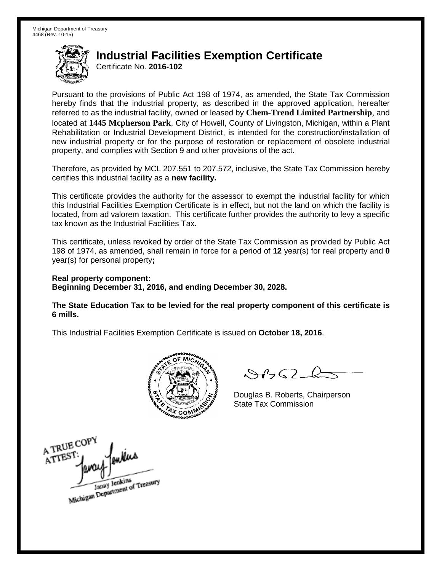Certificate No. **2016-102**

Pursuant to the provisions of Public Act 198 of 1974, as amended, the State Tax Commission hereby finds that the industrial property, as described in the approved application, hereafter referred to as the industrial facility, owned or leased by **Chem-Trend Limited Partnership**, and located at **1445 Mcpherson Park**, City of Howell, County of Livingston, Michigan, within a Plant Rehabilitation or Industrial Development District, is intended for the construction/installation of new industrial property or for the purpose of restoration or replacement of obsolete industrial property, and complies with Section 9 and other provisions of the act.

Therefore, as provided by MCL 207.551 to 207.572, inclusive, the State Tax Commission hereby certifies this industrial facility as a **new facility.**

This certificate provides the authority for the assessor to exempt the industrial facility for which this Industrial Facilities Exemption Certificate is in effect, but not the land on which the facility is located, from ad valorem taxation. This certificate further provides the authority to levy a specific tax known as the Industrial Facilities Tax.

This certificate, unless revoked by order of the State Tax Commission as provided by Public Act 198 of 1974, as amended, shall remain in force for a period of **12** year(s) for real property and **0** year(s) for personal property**;**

**Real property component: Beginning December 31, 2016, and ending December 30, 2028.**

**The State Education Tax to be levied for the real property component of this certificate is 6 mills.**



 $\mathcal{A}_{1} \cap \mathcal{C}$ 

Douglas B. Roberts, Chairperson State Tax Commission

A TRUE COPY enkins ATTEST: Janay Jenkins<br>Michigan Department of Treasury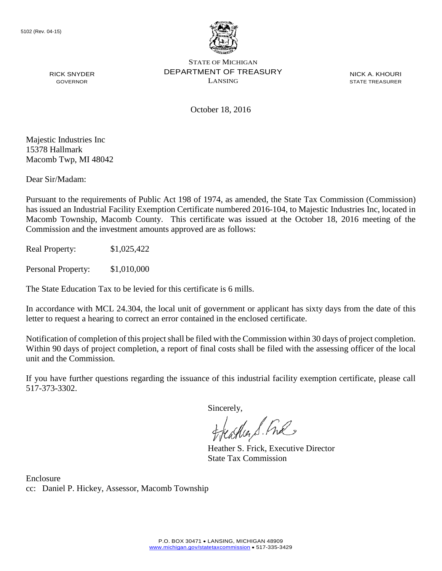

NICK A. KHOURI STATE TREASURER

October 18, 2016

Majestic Industries Inc 15378 Hallmark Macomb Twp, MI 48042

RICK SNYDER GOVERNOR

Dear Sir/Madam:

Pursuant to the requirements of Public Act 198 of 1974, as amended, the State Tax Commission (Commission) has issued an Industrial Facility Exemption Certificate numbered 2016-104, to Majestic Industries Inc, located in Macomb Township, Macomb County. This certificate was issued at the October 18, 2016 meeting of the Commission and the investment amounts approved are as follows:

Real Property: \$1,025,422

Personal Property: \$1,010,000

The State Education Tax to be levied for this certificate is 6 mills.

In accordance with MCL 24.304, the local unit of government or applicant has sixty days from the date of this letter to request a hearing to correct an error contained in the enclosed certificate.

Notification of completion of this project shall be filed with the Commission within 30 days of project completion. Within 90 days of project completion, a report of final costs shall be filed with the assessing officer of the local unit and the Commission.

If you have further questions regarding the issuance of this industrial facility exemption certificate, please call 517-373-3302.

Sincerely,<br>Freashier S. Free

Heather S. Frick, Executive Director State Tax Commission

Enclosure cc: Daniel P. Hickey, Assessor, Macomb Township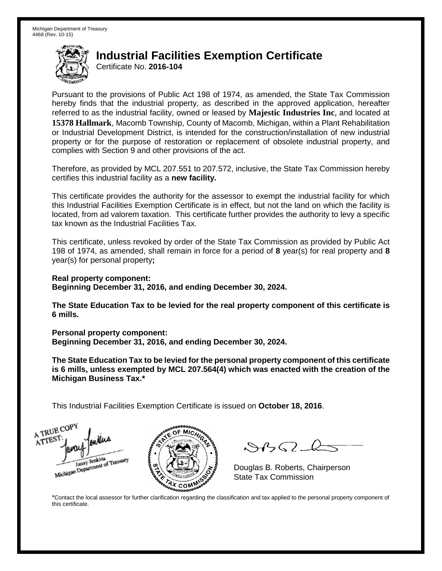Certificate No. **2016-104**

Pursuant to the provisions of Public Act 198 of 1974, as amended, the State Tax Commission hereby finds that the industrial property, as described in the approved application, hereafter referred to as the industrial facility, owned or leased by **Majestic Industries Inc**, and located at **15378 Hallmark**, Macomb Township, County of Macomb, Michigan, within a Plant Rehabilitation or Industrial Development District, is intended for the construction/installation of new industrial property or for the purpose of restoration or replacement of obsolete industrial property, and complies with Section 9 and other provisions of the act.

Therefore, as provided by MCL 207.551 to 207.572, inclusive, the State Tax Commission hereby certifies this industrial facility as a **new facility.**

This certificate provides the authority for the assessor to exempt the industrial facility for which this Industrial Facilities Exemption Certificate is in effect, but not the land on which the facility is located, from ad valorem taxation. This certificate further provides the authority to levy a specific tax known as the Industrial Facilities Tax.

This certificate, unless revoked by order of the State Tax Commission as provided by Public Act 198 of 1974, as amended, shall remain in force for a period of **8** year(s) for real property and **8** year(s) for personal property**;**

**Real property component: Beginning December 31, 2016, and ending December 30, 2024.**

**The State Education Tax to be levied for the real property component of this certificate is 6 mills.**

**Personal property component:**

**Beginning December 31, 2016, and ending December 30, 2024.**

**The State Education Tax to be levied for the personal property component of this certificate is 6 mills, unless exempted by MCL 207.564(4) which was enacted with the creation of the Michigan Business Tax.\***

This Industrial Facilities Exemption Certificate is issued on **October 18, 2016**.





 $\mathcal{S}$ 

Douglas B. Roberts, Chairperson State Tax Commission

\*Contact the local assessor for further clarification regarding the classification and tax applied to the personal property component of this certificate.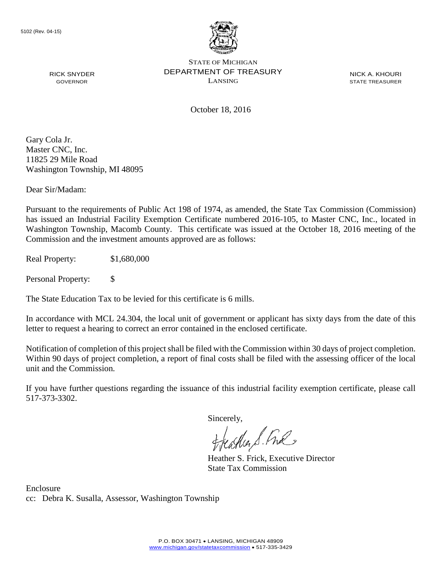

NICK A. KHOURI STATE TREASURER

October 18, 2016

Gary Cola Jr. Master CNC, Inc. 11825 29 Mile Road Washington Township, MI 48095

RICK SNYDER GOVERNOR

Dear Sir/Madam:

Pursuant to the requirements of Public Act 198 of 1974, as amended, the State Tax Commission (Commission) has issued an Industrial Facility Exemption Certificate numbered 2016-105, to Master CNC, Inc., located in Washington Township, Macomb County. This certificate was issued at the October 18, 2016 meeting of the Commission and the investment amounts approved are as follows:

Real Property: \$1,680,000

Personal Property: \$

The State Education Tax to be levied for this certificate is 6 mills.

In accordance with MCL 24.304, the local unit of government or applicant has sixty days from the date of this letter to request a hearing to correct an error contained in the enclosed certificate.

Notification of completion of this project shall be filed with the Commission within 30 days of project completion. Within 90 days of project completion, a report of final costs shall be filed with the assessing officer of the local unit and the Commission.

If you have further questions regarding the issuance of this industrial facility exemption certificate, please call 517-373-3302.

Sincerely,

teather S. Ful

Heather S. Frick, Executive Director State Tax Commission

Enclosure cc: Debra K. Susalla, Assessor, Washington Township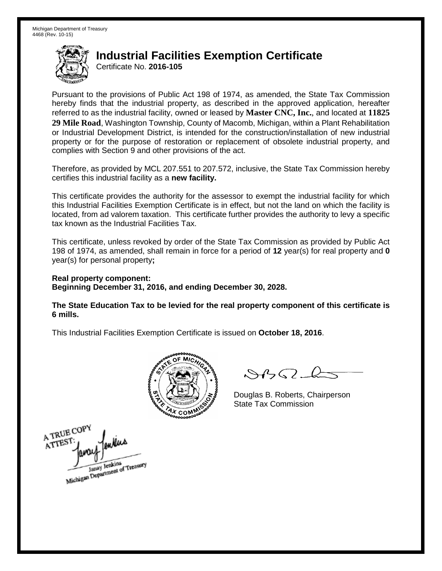Certificate No. **2016-105**

Pursuant to the provisions of Public Act 198 of 1974, as amended, the State Tax Commission hereby finds that the industrial property, as described in the approved application, hereafter referred to as the industrial facility, owned or leased by **Master CNC, Inc.**, and located at **11825 29 Mile Road**, Washington Township, County of Macomb, Michigan, within a Plant Rehabilitation or Industrial Development District, is intended for the construction/installation of new industrial property or for the purpose of restoration or replacement of obsolete industrial property, and complies with Section 9 and other provisions of the act.

Therefore, as provided by MCL 207.551 to 207.572, inclusive, the State Tax Commission hereby certifies this industrial facility as a **new facility.**

This certificate provides the authority for the assessor to exempt the industrial facility for which this Industrial Facilities Exemption Certificate is in effect, but not the land on which the facility is located, from ad valorem taxation. This certificate further provides the authority to levy a specific tax known as the Industrial Facilities Tax.

This certificate, unless revoked by order of the State Tax Commission as provided by Public Act 198 of 1974, as amended, shall remain in force for a period of **12** year(s) for real property and **0** year(s) for personal property**;**

**Real property component: Beginning December 31, 2016, and ending December 30, 2028.**

**The State Education Tax to be levied for the real property component of this certificate is 6 mills.**



 $\mathcal{A}_{1} \cap \mathcal{C}$ 

Douglas B. Roberts, Chairperson State Tax Commission

A TRUE COPY enKus ATTEST Michigan Department of Treasury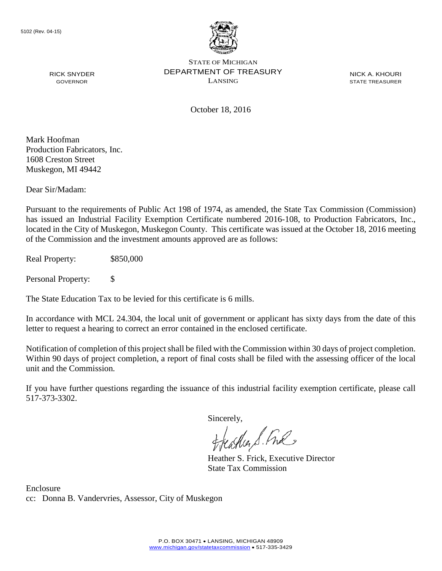

NICK A. KHOURI STATE TREASURER

October 18, 2016

Mark Hoofman Production Fabricators, Inc. 1608 Creston Street Muskegon, MI 49442

RICK SNYDER GOVERNOR

Dear Sir/Madam:

Pursuant to the requirements of Public Act 198 of 1974, as amended, the State Tax Commission (Commission) has issued an Industrial Facility Exemption Certificate numbered 2016-108, to Production Fabricators, Inc., located in the City of Muskegon, Muskegon County. This certificate was issued at the October 18, 2016 meeting of the Commission and the investment amounts approved are as follows:

Real Property: \$850,000

Personal Property: \$

The State Education Tax to be levied for this certificate is 6 mills.

In accordance with MCL 24.304, the local unit of government or applicant has sixty days from the date of this letter to request a hearing to correct an error contained in the enclosed certificate.

Notification of completion of this project shall be filed with the Commission within 30 days of project completion. Within 90 days of project completion, a report of final costs shall be filed with the assessing officer of the local unit and the Commission.

If you have further questions regarding the issuance of this industrial facility exemption certificate, please call 517-373-3302.

Sincerely,

teather S. Ful

Heather S. Frick, Executive Director State Tax Commission

Enclosure cc: Donna B. Vandervries, Assessor, City of Muskegon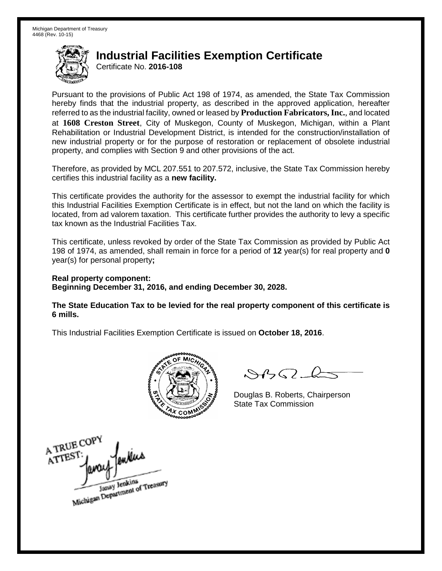Certificate No. **2016-108**

Pursuant to the provisions of Public Act 198 of 1974, as amended, the State Tax Commission hereby finds that the industrial property, as described in the approved application, hereafter referred to as the industrial facility, owned or leased by **Production Fabricators, Inc.**, and located at **1608 Creston Street**, City of Muskegon, County of Muskegon, Michigan, within a Plant Rehabilitation or Industrial Development District, is intended for the construction/installation of new industrial property or for the purpose of restoration or replacement of obsolete industrial property, and complies with Section 9 and other provisions of the act.

Therefore, as provided by MCL 207.551 to 207.572, inclusive, the State Tax Commission hereby certifies this industrial facility as a **new facility.**

This certificate provides the authority for the assessor to exempt the industrial facility for which this Industrial Facilities Exemption Certificate is in effect, but not the land on which the facility is located, from ad valorem taxation. This certificate further provides the authority to levy a specific tax known as the Industrial Facilities Tax.

This certificate, unless revoked by order of the State Tax Commission as provided by Public Act 198 of 1974, as amended, shall remain in force for a period of **12** year(s) for real property and **0** year(s) for personal property**;**

**Real property component: Beginning December 31, 2016, and ending December 30, 2028.**

**The State Education Tax to be levied for the real property component of this certificate is 6 mills.**



 $\mathcal{A}_{1} \cap \mathcal{C}$ 

Douglas B. Roberts, Chairperson State Tax Commission

A TRUE COP enkius ATTEST Janay Jenkins<br>Michigan Department of Treasury Janay Jenkins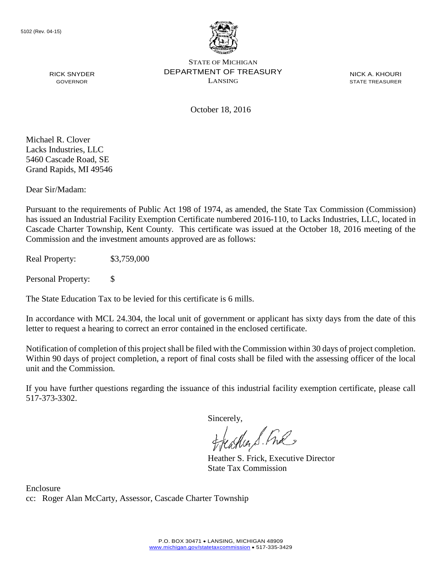

NICK A. KHOURI STATE TREASURER

October 18, 2016

Michael R. Clover Lacks Industries, LLC 5460 Cascade Road, SE Grand Rapids, MI 49546

RICK SNYDER GOVERNOR

Dear Sir/Madam:

Pursuant to the requirements of Public Act 198 of 1974, as amended, the State Tax Commission (Commission) has issued an Industrial Facility Exemption Certificate numbered 2016-110, to Lacks Industries, LLC, located in Cascade Charter Township, Kent County. This certificate was issued at the October 18, 2016 meeting of the Commission and the investment amounts approved are as follows:

Real Property: \$3,759,000

Personal Property: \$

The State Education Tax to be levied for this certificate is 6 mills.

In accordance with MCL 24.304, the local unit of government or applicant has sixty days from the date of this letter to request a hearing to correct an error contained in the enclosed certificate.

Notification of completion of this project shall be filed with the Commission within 30 days of project completion. Within 90 days of project completion, a report of final costs shall be filed with the assessing officer of the local unit and the Commission.

If you have further questions regarding the issuance of this industrial facility exemption certificate, please call 517-373-3302.

Sincerely,

feastles S. Ful

Heather S. Frick, Executive Director State Tax Commission

Enclosure cc: Roger Alan McCarty, Assessor, Cascade Charter Township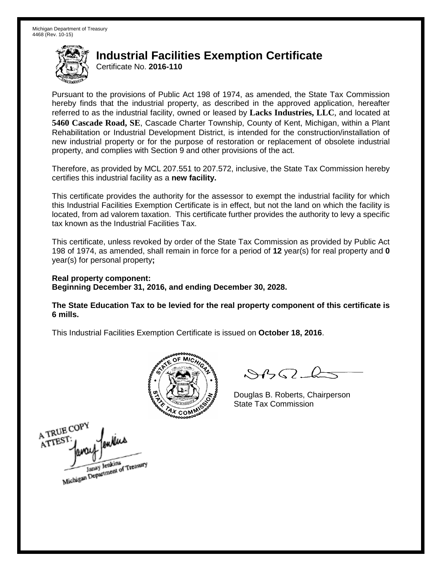Certificate No. **2016-110**

Pursuant to the provisions of Public Act 198 of 1974, as amended, the State Tax Commission hereby finds that the industrial property, as described in the approved application, hereafter referred to as the industrial facility, owned or leased by **Lacks Industries, LLC**, and located at **5460 Cascade Road, SE**, Cascade Charter Township, County of Kent, Michigan, within a Plant Rehabilitation or Industrial Development District, is intended for the construction/installation of new industrial property or for the purpose of restoration or replacement of obsolete industrial property, and complies with Section 9 and other provisions of the act.

Therefore, as provided by MCL 207.551 to 207.572, inclusive, the State Tax Commission hereby certifies this industrial facility as a **new facility.**

This certificate provides the authority for the assessor to exempt the industrial facility for which this Industrial Facilities Exemption Certificate is in effect, but not the land on which the facility is located, from ad valorem taxation. This certificate further provides the authority to levy a specific tax known as the Industrial Facilities Tax.

This certificate, unless revoked by order of the State Tax Commission as provided by Public Act 198 of 1974, as amended, shall remain in force for a period of **12** year(s) for real property and **0** year(s) for personal property**;**

**Real property component: Beginning December 31, 2016, and ending December 30, 2028.**

**The State Education Tax to be levied for the real property component of this certificate is 6 mills.**



 $\mathcal{A}_{1} \cap \mathcal{C}$ 

Douglas B. Roberts, Chairperson State Tax Commission

A TRUE COP ATTES! Janay Jenkins<br>Michigan Department of Treasury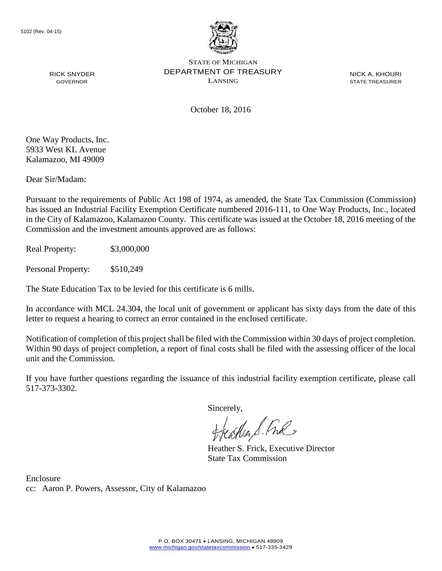

NICK A. KHOURI STATE TREASURER

October 18, 2016

One Way Products, Inc. 5933 West KL Avenue Kalamazoo, MI 49009

RICK SNYDER GOVERNOR

Dear Sir/Madam:

Pursuant to the requirements of Public Act 198 of 1974, as amended, the State Tax Commission (Commission) has issued an Industrial Facility Exemption Certificate numbered 2016-111, to One Way Products, Inc., located in the City of Kalamazoo, Kalamazoo County. This certificate was issued at the October 18, 2016 meeting of the Commission and the investment amounts approved are as follows:

Real Property: \$3,000,000

Personal Property: \$510,249

The State Education Tax to be levied for this certificate is 6 mills.

In accordance with MCL 24.304, the local unit of government or applicant has sixty days from the date of this letter to request a hearing to correct an error contained in the enclosed certificate.

Notification of completion of this project shall be filed with the Commission within 30 days of project completion. Within 90 days of project completion, a report of final costs shall be filed with the assessing officer of the local unit and the Commission.

If you have further questions regarding the issuance of this industrial facility exemption certificate, please call 517-373-3302.

Sincerely,<br>Freashier S. Free

Heather S. Frick, Executive Director State Tax Commission

Enclosure cc: Aaron P. Powers, Assessor, City of Kalamazoo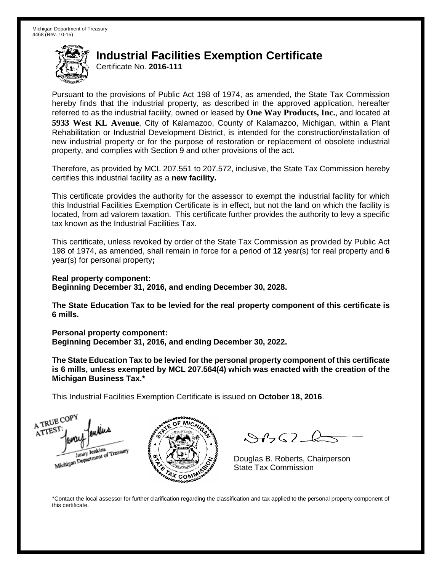Certificate No. **2016-111**

Pursuant to the provisions of Public Act 198 of 1974, as amended, the State Tax Commission hereby finds that the industrial property, as described in the approved application, hereafter referred to as the industrial facility, owned or leased by **One Way Products, Inc.**, and located at **5933 West KL Avenue**, City of Kalamazoo, County of Kalamazoo, Michigan, within a Plant Rehabilitation or Industrial Development District, is intended for the construction/installation of new industrial property or for the purpose of restoration or replacement of obsolete industrial property, and complies with Section 9 and other provisions of the act.

Therefore, as provided by MCL 207.551 to 207.572, inclusive, the State Tax Commission hereby certifies this industrial facility as a **new facility.**

This certificate provides the authority for the assessor to exempt the industrial facility for which this Industrial Facilities Exemption Certificate is in effect, but not the land on which the facility is located, from ad valorem taxation. This certificate further provides the authority to levy a specific tax known as the Industrial Facilities Tax.

This certificate, unless revoked by order of the State Tax Commission as provided by Public Act 198 of 1974, as amended, shall remain in force for a period of **12** year(s) for real property and **6** year(s) for personal property**;**

**Real property component: Beginning December 31, 2016, and ending December 30, 2028.**

**The State Education Tax to be levied for the real property component of this certificate is 6 mills.**

**Personal property component:**

**Beginning December 31, 2016, and ending December 30, 2022.**

**The State Education Tax to be levied for the personal property component of this certificate is 6 mills, unless exempted by MCL 207.564(4) which was enacted with the creation of the Michigan Business Tax.\***

This Industrial Facilities Exemption Certificate is issued on **October 18, 2016**.

A TRUE COP ATTEST Janay Jenkins<br>Michigan Department of Treasury



 $\mathcal{A} \cup \mathcal{A}$ 

Douglas B. Roberts, Chairperson State Tax Commission

\*Contact the local assessor for further clarification regarding the classification and tax applied to the personal property component of this certificate.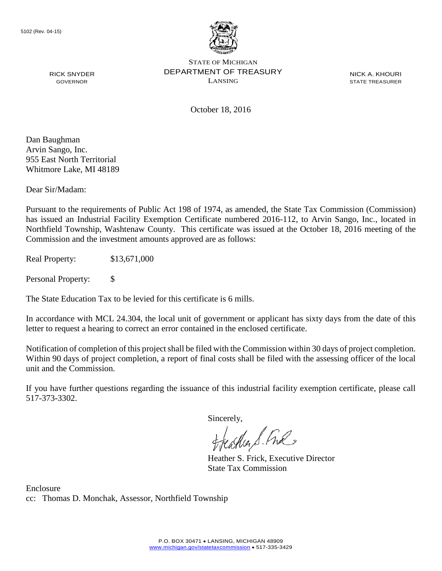

NICK A. KHOURI STATE TREASURER

October 18, 2016

Dan Baughman Arvin Sango, Inc. 955 East North Territorial Whitmore Lake, MI 48189

RICK SNYDER GOVERNOR

Dear Sir/Madam:

Pursuant to the requirements of Public Act 198 of 1974, as amended, the State Tax Commission (Commission) has issued an Industrial Facility Exemption Certificate numbered 2016-112, to Arvin Sango, Inc., located in Northfield Township, Washtenaw County. This certificate was issued at the October 18, 2016 meeting of the Commission and the investment amounts approved are as follows:

Real Property: \$13,671,000

Personal Property: \$

The State Education Tax to be levied for this certificate is 6 mills.

In accordance with MCL 24.304, the local unit of government or applicant has sixty days from the date of this letter to request a hearing to correct an error contained in the enclosed certificate.

Notification of completion of this project shall be filed with the Commission within 30 days of project completion. Within 90 days of project completion, a report of final costs shall be filed with the assessing officer of the local unit and the Commission.

If you have further questions regarding the issuance of this industrial facility exemption certificate, please call 517-373-3302.

Sincerely,

feastles S. Ful

Heather S. Frick, Executive Director State Tax Commission

Enclosure cc: Thomas D. Monchak, Assessor, Northfield Township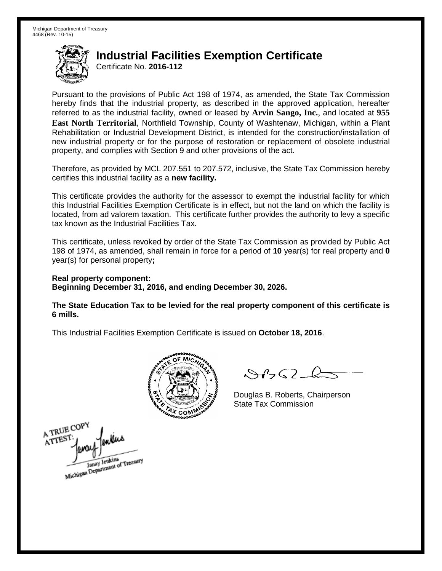Certificate No. **2016-112**

Pursuant to the provisions of Public Act 198 of 1974, as amended, the State Tax Commission hereby finds that the industrial property, as described in the approved application, hereafter referred to as the industrial facility, owned or leased by **Arvin Sango, Inc.**, and located at **955 East North Territorial**, Northfield Township, County of Washtenaw, Michigan, within a Plant Rehabilitation or Industrial Development District, is intended for the construction/installation of new industrial property or for the purpose of restoration or replacement of obsolete industrial property, and complies with Section 9 and other provisions of the act.

Therefore, as provided by MCL 207.551 to 207.572, inclusive, the State Tax Commission hereby certifies this industrial facility as a **new facility.**

This certificate provides the authority for the assessor to exempt the industrial facility for which this Industrial Facilities Exemption Certificate is in effect, but not the land on which the facility is located, from ad valorem taxation. This certificate further provides the authority to levy a specific tax known as the Industrial Facilities Tax.

This certificate, unless revoked by order of the State Tax Commission as provided by Public Act 198 of 1974, as amended, shall remain in force for a period of **10** year(s) for real property and **0** year(s) for personal property**;**

**Real property component: Beginning December 31, 2016, and ending December 30, 2026.**

**The State Education Tax to be levied for the real property component of this certificate is 6 mills.**



 $\mathcal{A}_{1} \cap \mathcal{C}$ 

Douglas B. Roberts, Chairperson State Tax Commission

A TRUE COP ATTEST Janay Jenkins<br>Michigan Department of Treasury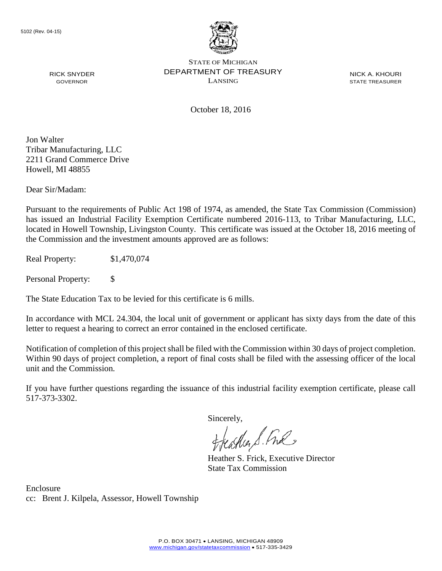

NICK A. KHOURI STATE TREASURER

October 18, 2016

Jon Walter Tribar Manufacturing, LLC 2211 Grand Commerce Drive Howell, MI 48855

RICK SNYDER GOVERNOR

Dear Sir/Madam:

Pursuant to the requirements of Public Act 198 of 1974, as amended, the State Tax Commission (Commission) has issued an Industrial Facility Exemption Certificate numbered 2016-113, to Tribar Manufacturing, LLC, located in Howell Township, Livingston County. This certificate was issued at the October 18, 2016 meeting of the Commission and the investment amounts approved are as follows:

Real Property: \$1,470,074

Personal Property: \$

The State Education Tax to be levied for this certificate is 6 mills.

In accordance with MCL 24.304, the local unit of government or applicant has sixty days from the date of this letter to request a hearing to correct an error contained in the enclosed certificate.

Notification of completion of this project shall be filed with the Commission within 30 days of project completion. Within 90 days of project completion, a report of final costs shall be filed with the assessing officer of the local unit and the Commission.

If you have further questions regarding the issuance of this industrial facility exemption certificate, please call 517-373-3302.

Sincerely,

teaglien S. Ful

Heather S. Frick, Executive Director State Tax Commission

Enclosure cc: Brent J. Kilpela, Assessor, Howell Township